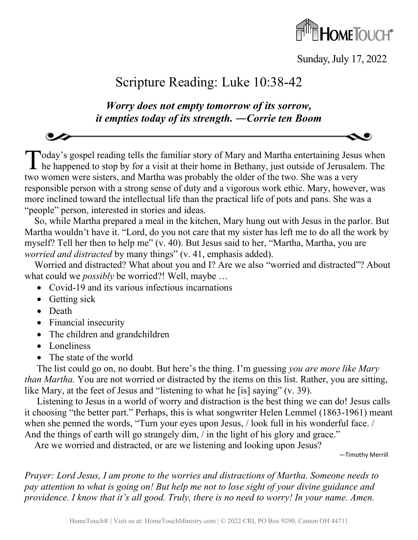

Sunday, July 17, 2022

## Scripture Reading: Luke 10:38-42

*Worry does not empty tomorrow of its sorrow, it empties today of its strength. ―Corrie ten Boom*

Today's gospel reading tells the familiar story of Mary and Martha entertaining Jesus when Today's gospel reading tells the familiar story of Mary and Martha entertaining Jesus when<br>he happened to stop by for a visit at their home in Bethany, just outside of Jerusalem. The two women were sisters, and Martha was probably the older of the two. She was a very responsible person with a strong sense of duty and a vigorous work ethic. Mary, however, was more inclined toward the intellectual life than the practical life of pots and pans. She was a "people" person, interested in stories and ideas.

So, while Martha prepared a meal in the kitchen, Mary hung out with Jesus in the parlor. But Martha wouldn't have it. "Lord, do you not care that my sister has left me to do all the work by myself? Tell her then to help me" (v. 40). But Jesus said to her, "Martha, Martha, you are *worried and distracted* by many things" (v. 41, emphasis added).

Worried and distracted? What about you and I? Are we also "worried and distracted"? About what could we *possibly* be worried?! Well, maybe …

- Covid-19 and its various infectious incarnations
- Getting sick
- Death
- Financial insecurity
- The children and grandchildren
- Loneliness
- The state of the world

The list could go on, no doubt. But here's the thing. I'm guessing *you are more like Mary than Martha.* You are not worried or distracted by the items on this list. Rather, you are sitting, like Mary, at the feet of Jesus and "listening to what he [is] saying" (v. 39).

Listening to Jesus in a world of worry and distraction is the best thing we can do! Jesus calls it choosing "the better part." Perhaps, this is what songwriter Helen Lemmel (1863-1961) meant when she penned the words, "Turn your eyes upon Jesus, / look full in his wonderful face. / And the things of earth will go strangely dim, / in the light of his glory and grace."

Are we worried and distracted, or are we listening and looking upon Jesus?

—Timothy Merrill

*Prayer: Lord Jesus, I am prone to the worries and distractions of Martha. Someone needs to pay attention to what is going on! But help me not to lose sight of your divine guidance and providence. I know that it's all good. Truly, there is no need to worry! In your name. Amen.*